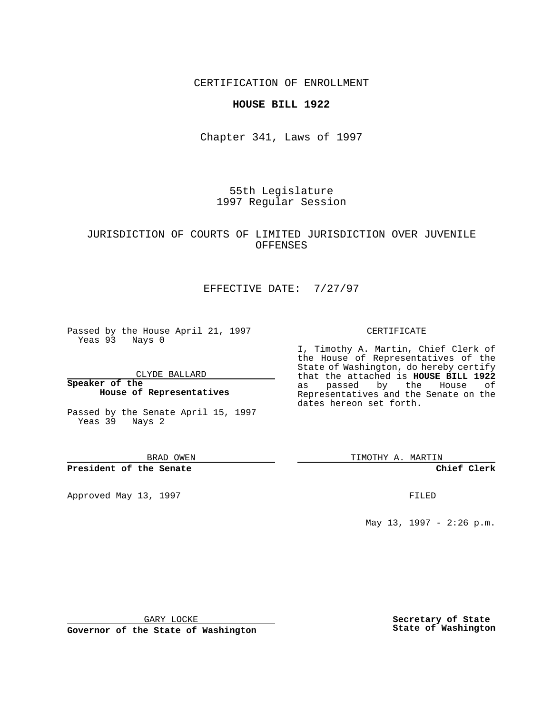CERTIFICATION OF ENROLLMENT

#### **HOUSE BILL 1922**

Chapter 341, Laws of 1997

55th Legislature 1997 Regular Session

### JURISDICTION OF COURTS OF LIMITED JURISDICTION OVER JUVENILE OFFENSES

# EFFECTIVE DATE: 7/27/97

Passed by the House April 21, 1997 Yeas 93 Nays 0

CLYDE BALLARD

**Speaker of the House of Representatives**

Passed by the Senate April 15, 1997 Yeas 39 Nays 2

BRAD OWEN

**President of the Senate**

Approved May 13, 1997 **FILED** 

#### CERTIFICATE

I, Timothy A. Martin, Chief Clerk of the House of Representatives of the State of Washington, do hereby certify that the attached is **HOUSE BILL 1922** as passed by the House of Representatives and the Senate on the dates hereon set forth.

TIMOTHY A. MARTIN

**Chief Clerk**

May 13, 1997 - 2:26 p.m.

GARY LOCKE

**Governor of the State of Washington**

**Secretary of State State of Washington**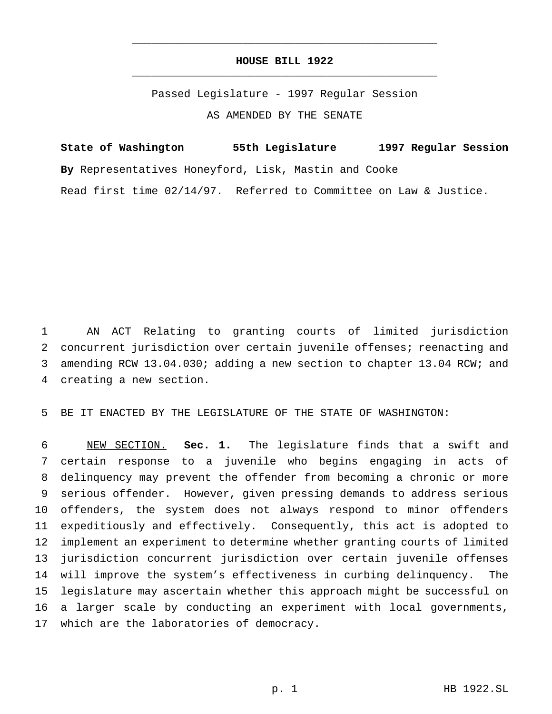# **HOUSE BILL 1922** \_\_\_\_\_\_\_\_\_\_\_\_\_\_\_\_\_\_\_\_\_\_\_\_\_\_\_\_\_\_\_\_\_\_\_\_\_\_\_\_\_\_\_\_\_\_\_

\_\_\_\_\_\_\_\_\_\_\_\_\_\_\_\_\_\_\_\_\_\_\_\_\_\_\_\_\_\_\_\_\_\_\_\_\_\_\_\_\_\_\_\_\_\_\_

Passed Legislature - 1997 Regular Session AS AMENDED BY THE SENATE

**State of Washington 55th Legislature 1997 Regular Session By** Representatives Honeyford, Lisk, Mastin and Cooke Read first time 02/14/97. Referred to Committee on Law & Justice.

 AN ACT Relating to granting courts of limited jurisdiction concurrent jurisdiction over certain juvenile offenses; reenacting and amending RCW 13.04.030; adding a new section to chapter 13.04 RCW; and creating a new section.

BE IT ENACTED BY THE LEGISLATURE OF THE STATE OF WASHINGTON:

 NEW SECTION. **Sec. 1.** The legislature finds that a swift and certain response to a juvenile who begins engaging in acts of delinquency may prevent the offender from becoming a chronic or more serious offender. However, given pressing demands to address serious offenders, the system does not always respond to minor offenders expeditiously and effectively. Consequently, this act is adopted to implement an experiment to determine whether granting courts of limited jurisdiction concurrent jurisdiction over certain juvenile offenses will improve the system's effectiveness in curbing delinquency. The legislature may ascertain whether this approach might be successful on a larger scale by conducting an experiment with local governments, which are the laboratories of democracy.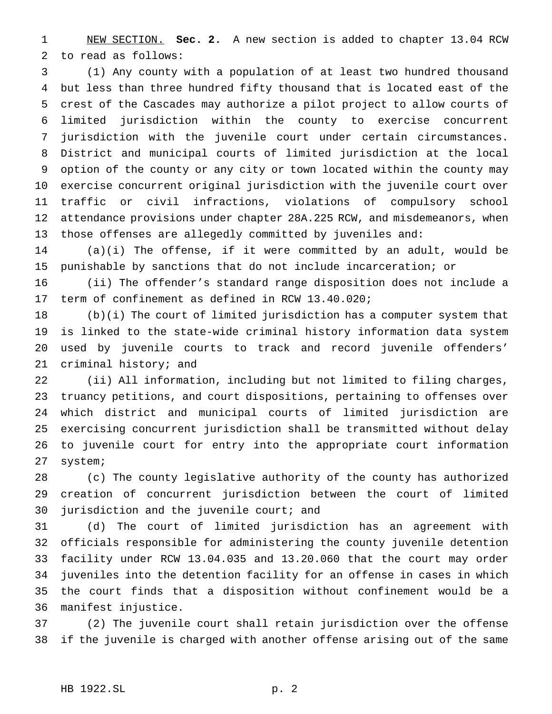NEW SECTION. **Sec. 2.** A new section is added to chapter 13.04 RCW to read as follows:

 (1) Any county with a population of at least two hundred thousand but less than three hundred fifty thousand that is located east of the crest of the Cascades may authorize a pilot project to allow courts of limited jurisdiction within the county to exercise concurrent jurisdiction with the juvenile court under certain circumstances. District and municipal courts of limited jurisdiction at the local option of the county or any city or town located within the county may exercise concurrent original jurisdiction with the juvenile court over traffic or civil infractions, violations of compulsory school attendance provisions under chapter 28A.225 RCW, and misdemeanors, when those offenses are allegedly committed by juveniles and:

 (a)(i) The offense, if it were committed by an adult, would be punishable by sanctions that do not include incarceration; or

 (ii) The offender's standard range disposition does not include a term of confinement as defined in RCW 13.40.020;

 (b)(i) The court of limited jurisdiction has a computer system that is linked to the state-wide criminal history information data system used by juvenile courts to track and record juvenile offenders' criminal history; and

 (ii) All information, including but not limited to filing charges, truancy petitions, and court dispositions, pertaining to offenses over which district and municipal courts of limited jurisdiction are exercising concurrent jurisdiction shall be transmitted without delay to juvenile court for entry into the appropriate court information system;

 (c) The county legislative authority of the county has authorized creation of concurrent jurisdiction between the court of limited 30 jurisdiction and the juvenile court; and

 (d) The court of limited jurisdiction has an agreement with officials responsible for administering the county juvenile detention facility under RCW 13.04.035 and 13.20.060 that the court may order juveniles into the detention facility for an offense in cases in which the court finds that a disposition without confinement would be a manifest injustice.

 (2) The juvenile court shall retain jurisdiction over the offense if the juvenile is charged with another offense arising out of the same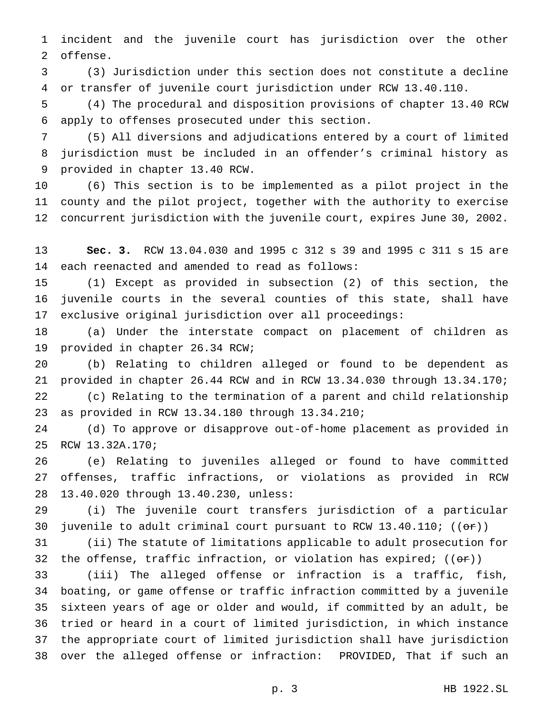incident and the juvenile court has jurisdiction over the other offense.

 (3) Jurisdiction under this section does not constitute a decline or transfer of juvenile court jurisdiction under RCW 13.40.110.

 (4) The procedural and disposition provisions of chapter 13.40 RCW apply to offenses prosecuted under this section.

 (5) All diversions and adjudications entered by a court of limited jurisdiction must be included in an offender's criminal history as provided in chapter 13.40 RCW.

 (6) This section is to be implemented as a pilot project in the county and the pilot project, together with the authority to exercise concurrent jurisdiction with the juvenile court, expires June 30, 2002.

 **Sec. 3.** RCW 13.04.030 and 1995 c 312 s 39 and 1995 c 311 s 15 are each reenacted and amended to read as follows:

 (1) Except as provided in subsection (2) of this section, the juvenile courts in the several counties of this state, shall have exclusive original jurisdiction over all proceedings:

 (a) Under the interstate compact on placement of children as provided in chapter 26.34 RCW;

 (b) Relating to children alleged or found to be dependent as provided in chapter 26.44 RCW and in RCW 13.34.030 through 13.34.170; (c) Relating to the termination of a parent and child relationship as provided in RCW 13.34.180 through 13.34.210;

 (d) To approve or disapprove out-of-home placement as provided in RCW 13.32A.170;

 (e) Relating to juveniles alleged or found to have committed offenses, traffic infractions, or violations as provided in RCW 13.40.020 through 13.40.230, unless:

 (i) The juvenile court transfers jurisdiction of a particular 30 juvenile to adult criminal court pursuant to RCW 13.40.110;  $((\theta \cdot \hat{r}))$ 

 (ii) The statute of limitations applicable to adult prosecution for 32 the offense, traffic infraction, or violation has expired;  $((\theta \cdot \mathbf{r}))$ 

 (iii) The alleged offense or infraction is a traffic, fish, boating, or game offense or traffic infraction committed by a juvenile sixteen years of age or older and would, if committed by an adult, be tried or heard in a court of limited jurisdiction, in which instance the appropriate court of limited jurisdiction shall have jurisdiction over the alleged offense or infraction: PROVIDED, That if such an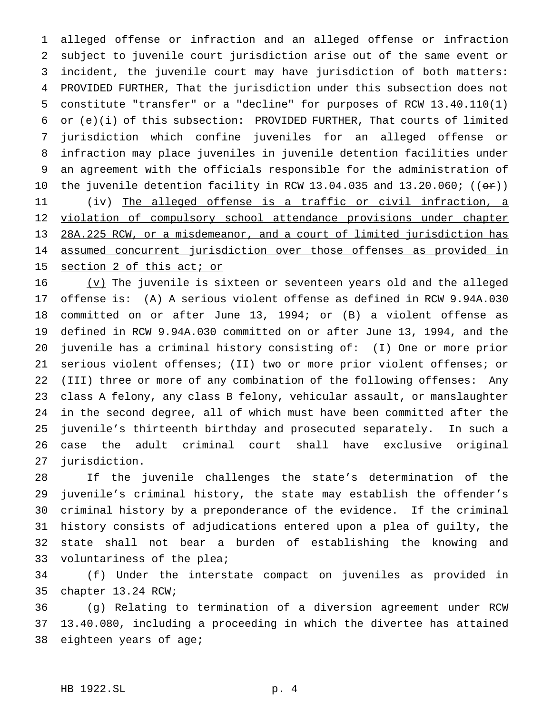alleged offense or infraction and an alleged offense or infraction subject to juvenile court jurisdiction arise out of the same event or incident, the juvenile court may have jurisdiction of both matters: PROVIDED FURTHER, That the jurisdiction under this subsection does not constitute "transfer" or a "decline" for purposes of RCW 13.40.110(1) or (e)(i) of this subsection: PROVIDED FURTHER, That courts of limited jurisdiction which confine juveniles for an alleged offense or infraction may place juveniles in juvenile detention facilities under an agreement with the officials responsible for the administration of 10 the juvenile detention facility in RCW 13.04.035 and  $13.20.060$ ; (( $\sigma$ r)) (iv) The alleged offense is a traffic or civil infraction, a 12 violation of compulsory school attendance provisions under chapter 28A.225 RCW, or a misdemeanor, and a court of limited jurisdiction has assumed concurrent jurisdiction over those offenses as provided in 15 section 2 of this act; or

 (v) The juvenile is sixteen or seventeen years old and the alleged offense is: (A) A serious violent offense as defined in RCW 9.94A.030 committed on or after June 13, 1994; or (B) a violent offense as defined in RCW 9.94A.030 committed on or after June 13, 1994, and the juvenile has a criminal history consisting of: (I) One or more prior serious violent offenses; (II) two or more prior violent offenses; or (III) three or more of any combination of the following offenses: Any class A felony, any class B felony, vehicular assault, or manslaughter in the second degree, all of which must have been committed after the juvenile's thirteenth birthday and prosecuted separately. In such a case the adult criminal court shall have exclusive original jurisdiction.

 If the juvenile challenges the state's determination of the juvenile's criminal history, the state may establish the offender's criminal history by a preponderance of the evidence. If the criminal history consists of adjudications entered upon a plea of guilty, the state shall not bear a burden of establishing the knowing and voluntariness of the plea;

 (f) Under the interstate compact on juveniles as provided in chapter 13.24 RCW;

 (g) Relating to termination of a diversion agreement under RCW 13.40.080, including a proceeding in which the divertee has attained eighteen years of age;